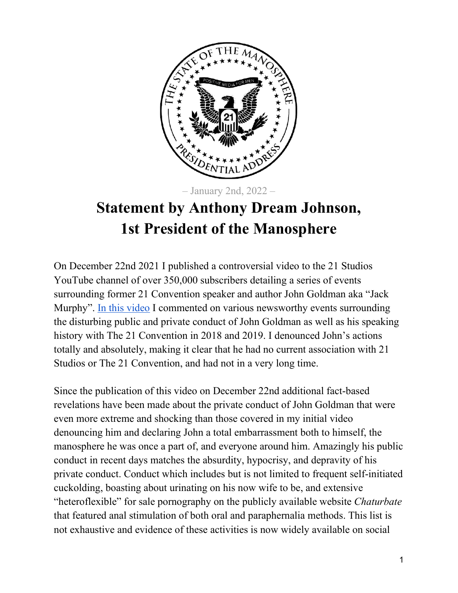

– January 2nd, 2022 –

## **Statement by Anthony Dream Johnson, 1st President of the Manosphere**

On December 22nd 2021 I published a controversial video to the 21 Studios YouTube channel of over 350,000 subscribers detailing a series of events surrounding former 21 Convention speaker and author John Goldman aka "Jack Murphy". [In this video](https://www.youtube.com/watch?v=mzuI8A94EQY) I commented on various newsworthy events surrounding the disturbing public and private conduct of John Goldman as well as his speaking history with The 21 Convention in 2018 and 2019. I denounced John's actions totally and absolutely, making it clear that he had no current association with 21 Studios or The 21 Convention, and had not in a very long time.

Since the publication of this video on December 22nd additional fact-based revelations have been made about the private conduct of John Goldman that were even more extreme and shocking than those covered in my initial video denouncing him and declaring John a total embarrassment both to himself, the manosphere he was once a part of, and everyone around him. Amazingly his public conduct in recent days matches the absurdity, hypocrisy, and depravity of his private conduct. Conduct which includes but is not limited to frequent self-initiated cuckolding, boasting about urinating on his now wife to be, and extensive "heteroflexible" for sale pornography on the publicly available website *Chaturbate* that featured anal stimulation of both oral and paraphernalia methods. This list is not exhaustive and evidence of these activities is now widely available on social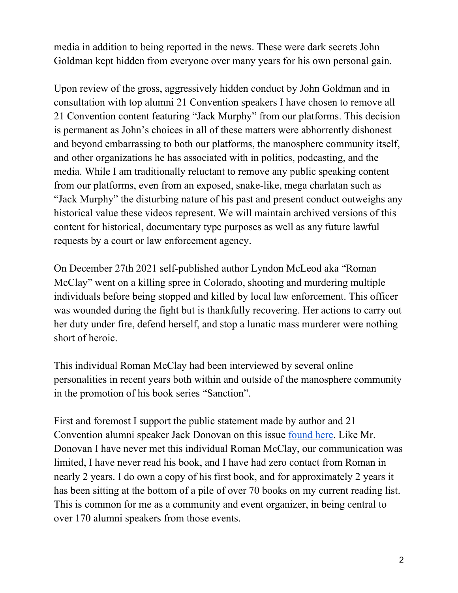media in addition to being reported in the news. These were dark secrets John Goldman kept hidden from everyone over many years for his own personal gain.

Upon review of the gross, aggressively hidden conduct by John Goldman and in consultation with top alumni 21 Convention speakers I have chosen to remove all 21 Convention content featuring "Jack Murphy" from our platforms. This decision is permanent as John's choices in all of these matters were abhorrently dishonest and beyond embarrassing to both our platforms, the manosphere community itself, and other organizations he has associated with in politics, podcasting, and the media. While I am traditionally reluctant to remove any public speaking content from our platforms, even from an exposed, snake-like, mega charlatan such as "Jack Murphy" the disturbing nature of his past and present conduct outweighs any historical value these videos represent. We will maintain archived versions of this content for historical, documentary type purposes as well as any future lawful requests by a court or law enforcement agency.

On December 27th 2021 self-published author Lyndon McLeod aka "Roman McClay" went on a killing spree in Colorado, shooting and murdering multiple individuals before being stopped and killed by local law enforcement. This officer was wounded during the fight but is thankfully recovering. Her actions to carry out her duty under fire, defend herself, and stop a lunatic mass murderer were nothing short of heroic.

This individual Roman McClay had been interviewed by several online personalities in recent years both within and outside of the manosphere community in the promotion of his book series "Sanction".

First and foremost I support the public statement made by author and 21 Convention alumni speaker Jack Donovan on this issue [found here.](https://www.instagram.com/p/CYDIxvVLgxl/) Like Mr. Donovan I have never met this individual Roman McClay, our communication was limited, I have never read his book, and I have had zero contact from Roman in nearly 2 years. I do own a copy of his first book, and for approximately 2 years it has been sitting at the bottom of a pile of over 70 books on my current reading list. This is common for me as a community and event organizer, in being central to over 170 alumni speakers from those events.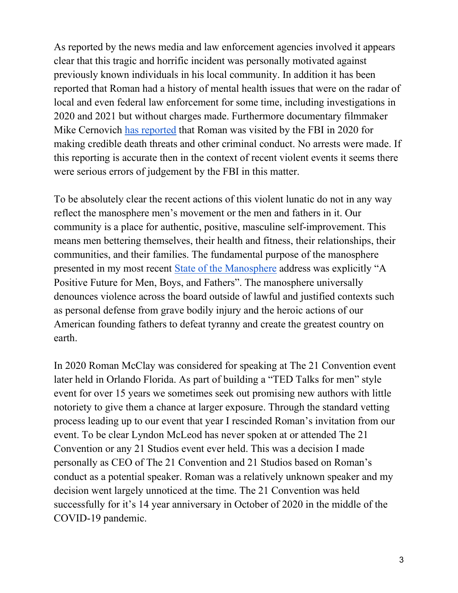As reported by the news media and law enforcement agencies involved it appears clear that this tragic and horrific incident was personally motivated against previously known individuals in his local community. In addition it has been reported that Roman had a history of mental health issues that were on the radar of local and even federal law enforcement for some time, including investigations in 2020 and 2021 but without charges made. Furthermore documentary filmmaker Mike Cernovich [has reported](https://twitter.com/Cernovich/status/1477512642210430976) that Roman was visited by the FBI in 2020 for making credible death threats and other criminal conduct. No arrests were made. If this reporting is accurate then in the context of recent violent events it seems there were serious errors of judgement by the FBI in this matter.

To be absolutely clear the recent actions of this violent lunatic do not in any way reflect the manosphere men's movement or the men and fathers in it. Our community is a place for authentic, positive, masculine self-improvement. This means men bettering themselves, their health and fitness, their relationships, their communities, and their families. The fundamental purpose of the manosphere presented in my most recent [State of the Manosphere](https://www.youtube.com/watch?v=gUpPHaLfBDA) address was explicitly "A Positive Future for Men, Boys, and Fathers". The manosphere universally denounces violence across the board outside of lawful and justified contexts such as personal defense from grave bodily injury and the heroic actions of our American founding fathers to defeat tyranny and create the greatest country on earth.

In 2020 Roman McClay was considered for speaking at The 21 Convention event later held in Orlando Florida. As part of building a "TED Talks for men" style event for over 15 years we sometimes seek out promising new authors with little notoriety to give them a chance at larger exposure. Through the standard vetting process leading up to our event that year I rescinded Roman's invitation from our event. To be clear Lyndon McLeod has never spoken at or attended The 21 Convention or any 21 Studios event ever held. This was a decision I made personally as CEO of The 21 Convention and 21 Studios based on Roman's conduct as a potential speaker. Roman was a relatively unknown speaker and my decision went largely unnoticed at the time. The 21 Convention was held successfully for it's 14 year anniversary in October of 2020 in the middle of the COVID-19 pandemic.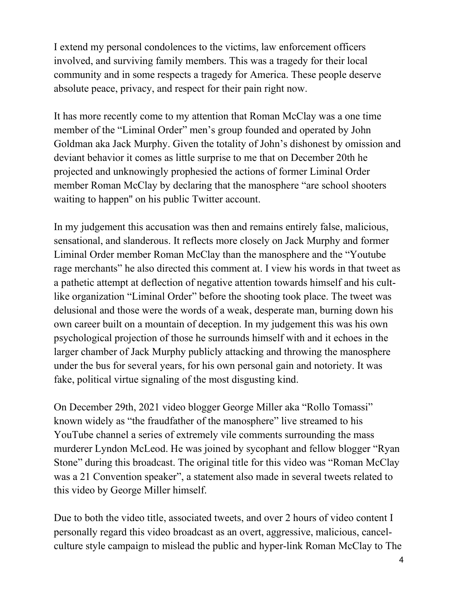I extend my personal condolences to the victims, law enforcement officers involved, and surviving family members. This was a tragedy for their local community and in some respects a tragedy for America. These people deserve absolute peace, privacy, and respect for their pain right now.

It has more recently come to my attention that Roman McClay was a one time member of the "Liminal Order" men's group founded and operated by John Goldman aka Jack Murphy. Given the totality of John's dishonest by omission and deviant behavior it comes as little surprise to me that on December 20th he projected and unknowingly prophesied the actions of former Liminal Order member Roman McClay by declaring that the manosphere "are school shooters waiting to happen'' on his public Twitter account.

In my judgement this accusation was then and remains entirely false, malicious, sensational, and slanderous. It reflects more closely on Jack Murphy and former Liminal Order member Roman McClay than the manosphere and the "Youtube rage merchants" he also directed this comment at. I view his words in that tweet as a pathetic attempt at deflection of negative attention towards himself and his cultlike organization "Liminal Order" before the shooting took place. The tweet was delusional and those were the words of a weak, desperate man, burning down his own career built on a mountain of deception. In my judgement this was his own psychological projection of those he surrounds himself with and it echoes in the larger chamber of Jack Murphy publicly attacking and throwing the manosphere under the bus for several years, for his own personal gain and notoriety. It was fake, political virtue signaling of the most disgusting kind.

On December 29th, 2021 video blogger George Miller aka "Rollo Tomassi" known widely as "the fraudfather of the manosphere" live streamed to his YouTube channel a series of extremely vile comments surrounding the mass murderer Lyndon McLeod. He was joined by sycophant and fellow blogger "Ryan Stone" during this broadcast. The original title for this video was "Roman McClay was a 21 Convention speaker", a statement also made in several tweets related to this video by George Miller himself.

Due to both the video title, associated tweets, and over 2 hours of video content I personally regard this video broadcast as an overt, aggressive, malicious, cancelculture style campaign to mislead the public and hyper-link Roman McClay to The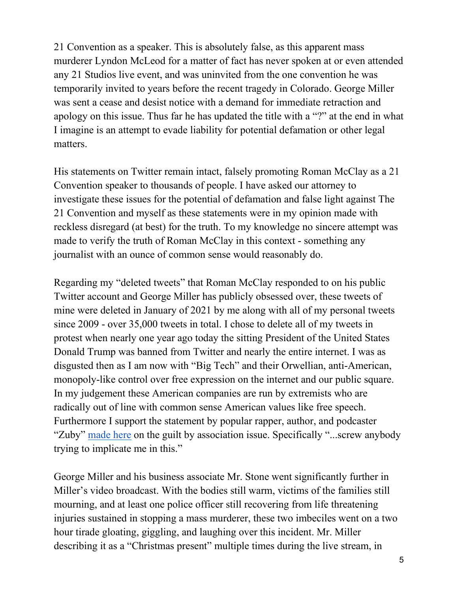21 Convention as a speaker. This is absolutely false, as this apparent mass murderer Lyndon McLeod for a matter of fact has never spoken at or even attended any 21 Studios live event, and was uninvited from the one convention he was temporarily invited to years before the recent tragedy in Colorado. George Miller was sent a cease and desist notice with a demand for immediate retraction and apology on this issue. Thus far he has updated the title with a "?" at the end in what I imagine is an attempt to evade liability for potential defamation or other legal matters.

His statements on Twitter remain intact, falsely promoting Roman McClay as a 21 Convention speaker to thousands of people. I have asked our attorney to investigate these issues for the potential of defamation and false light against The 21 Convention and myself as these statements were in my opinion made with reckless disregard (at best) for the truth. To my knowledge no sincere attempt was made to verify the truth of Roman McClay in this context - something any journalist with an ounce of common sense would reasonably do.

Regarding my "deleted tweets" that Roman McClay responded to on his public Twitter account and George Miller has publicly obsessed over, these tweets of mine were deleted in January of 2021 by me along with all of my personal tweets since 2009 - over 35,000 tweets in total. I chose to delete all of my tweets in protest when nearly one year ago today the sitting President of the United States Donald Trump was banned from Twitter and nearly the entire internet. I was as disgusted then as I am now with "Big Tech" and their Orwellian, anti-American, monopoly-like control over free expression on the internet and our public square. In my judgement these American companies are run by extremists who are radically out of line with common sense American values like free speech. Furthermore I support the statement by popular rapper, author, and podcaster "Zuby" [made here](https://twitter.com/ZubyMusic/status/1476660655746920456) on the guilt by association issue. Specifically "...screw anybody trying to implicate me in this."

George Miller and his business associate Mr. Stone went significantly further in Miller's video broadcast. With the bodies still warm, victims of the families still mourning, and at least one police officer still recovering from life threatening injuries sustained in stopping a mass murderer, these two imbeciles went on a two hour tirade gloating, giggling, and laughing over this incident. Mr. Miller describing it as a "Christmas present" multiple times during the live stream, in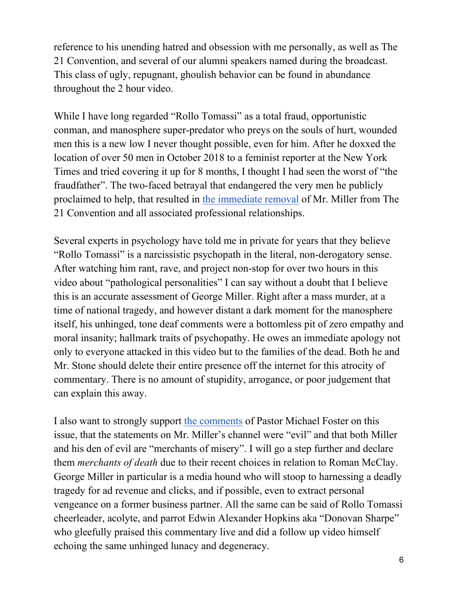reference to his unending hatred and obsession with me personally, as well as The 21 Convention, and several of our alumni speakers named during the broadcast. This class of ugly, repugnant, ghoulish behavior can be found in abundance throughout the 2 hour video.

While I have long regarded "Rollo Tomassi" as a total fraud, opportunistic conman, and manosphere super-predator who preys on the souls of hurt, wounded men this is a new low I never thought possible, even for him. After he doxxed the location of over 50 men in October 2018 to a feminist reporter at the New York Times and tried covering it up for 8 months, I thought I had seen the worst of "the fraudfather". The two-faced betrayal that endangered the very men he publicly proclaimed to help, that resulted in [the immediate removal](https://1drv.ms/b/s!AvQNCi15aIPFgSdljNlKVhZRiVhw) of Mr. Miller from The 21 Convention and all associated professional relationships.

Several experts in psychology have told me in private for years that they believe "Rollo Tomassi" is a narcissistic psychopath in the literal, non-derogatory sense. After watching him rant, rave, and project non-stop for over two hours in this video about "pathological personalities" I can say without a doubt that I believe this is an accurate assessment of George Miller. Right after a mass murder, at a time of national tragedy, and however distant a dark moment for the manosphere itself, his unhinged, tone deaf comments were a bottomless pit of zero empathy and moral insanity; hallmark traits of psychopathy. He owes an immediate apology not only to everyone attacked in this video but to the families of the dead. Both he and Mr. Stone should delete their entire presence off the internet for this atrocity of commentary. There is no amount of stupidity, arrogance, or poor judgement that can explain this away.

I also want to strongly support [the comments](https://www.youtube.com/watch?v=wgrNJegsZfU) of Pastor Michael Foster on this issue, that the statements on Mr. Miller's channel were "evil" and that both Miller and his den of evil are "merchants of misery". I will go a step further and declare them *merchants of death* due to their recent choices in relation to Roman McClay. George Miller in particular is a media hound who will stoop to harnessing a deadly tragedy for ad revenue and clicks, and if possible, even to extract personal vengeance on a former business partner. All the same can be said of Rollo Tomassi cheerleader, acolyte, and parrot Edwin Alexander Hopkins aka "Donovan Sharpe" who gleefully praised this commentary live and did a follow up video himself echoing the same unhinged lunacy and degeneracy.